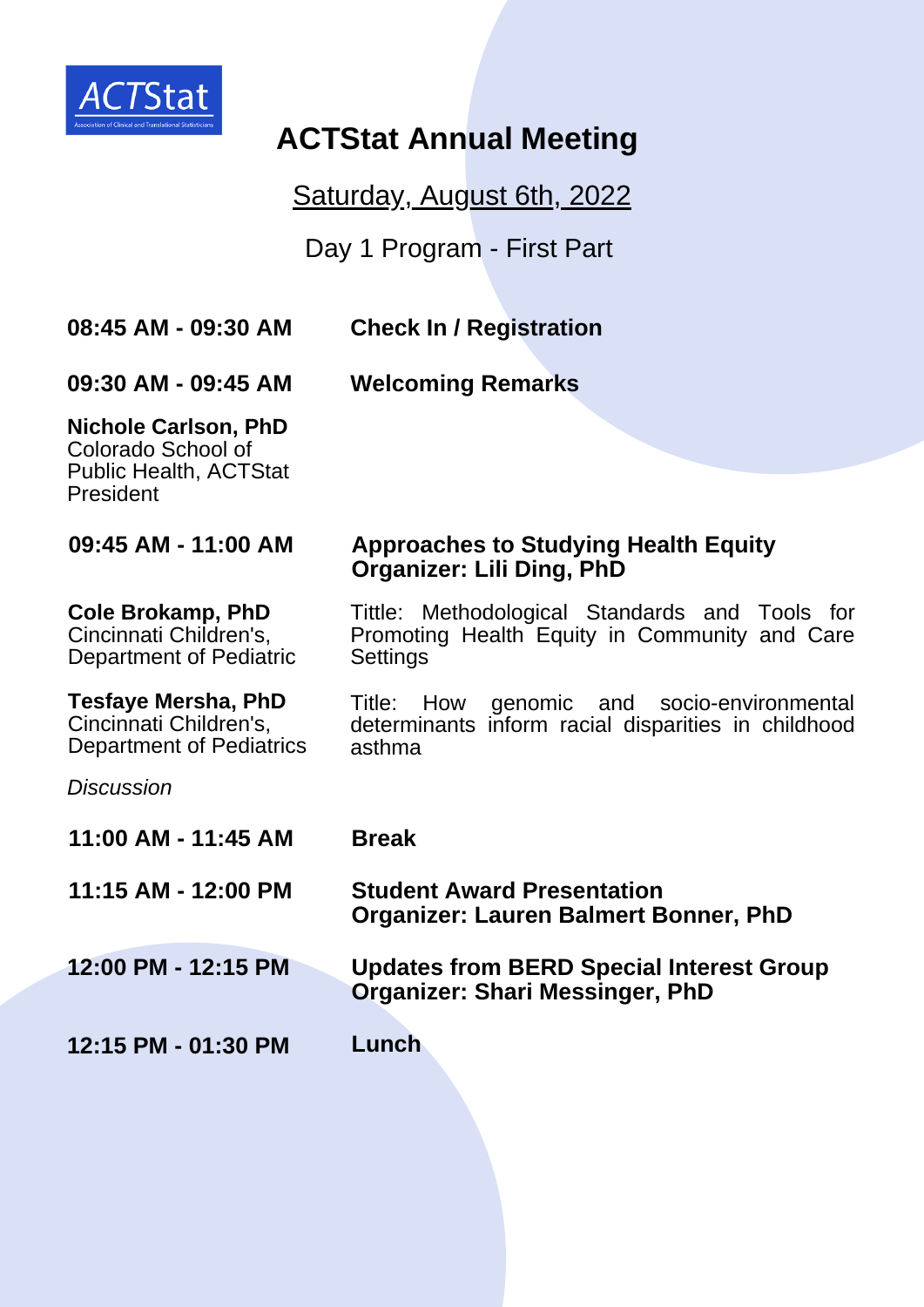

# **ACTStat Annual Meeting**

Saturday, August 6th, 2022

Day 1 Program - First Part

**08:45 AM - 09:30 AM**

**Check In / Registration**

**09:30 AM - 09:45 AM**

**Welcoming Remarks**

**Organizer: Lili Ding, PhD**

**Settings** 

**Nichole Carlson, PhD** Colorado School of Public Health, ACTStat President

**09:45 AM - 11:00 AM**

### **Cole Brokamp, PhD**

Cincinnati Children's, Department of Pediatric

**Tesfaye Mersha, PhD** Cincinnati Children's, Department of Pediatrics Title: How genomic and socio-environmental determinants inform racial disparities in childhood asthma

Tittle: Methodological Standards and Tools for Promoting Health Equity in Community and Care

**Approaches to Studying Health Equity**

*Discussion*

| 11:00 AM - 11:45 AM | <b>Break</b>                                                                              |
|---------------------|-------------------------------------------------------------------------------------------|
| 11:15 AM - 12:00 PM | <b>Student Award Presentation</b><br><b>Organizer: Lauren Balmert Bonner, PhD</b>         |
| 12:00 PM - 12:15 PM | <b>Updates from BERD Special Interest Group</b><br><b>Organizer: Shari Messinger, PhD</b> |
| 12:15 PM - 01:30 PM | Lunch                                                                                     |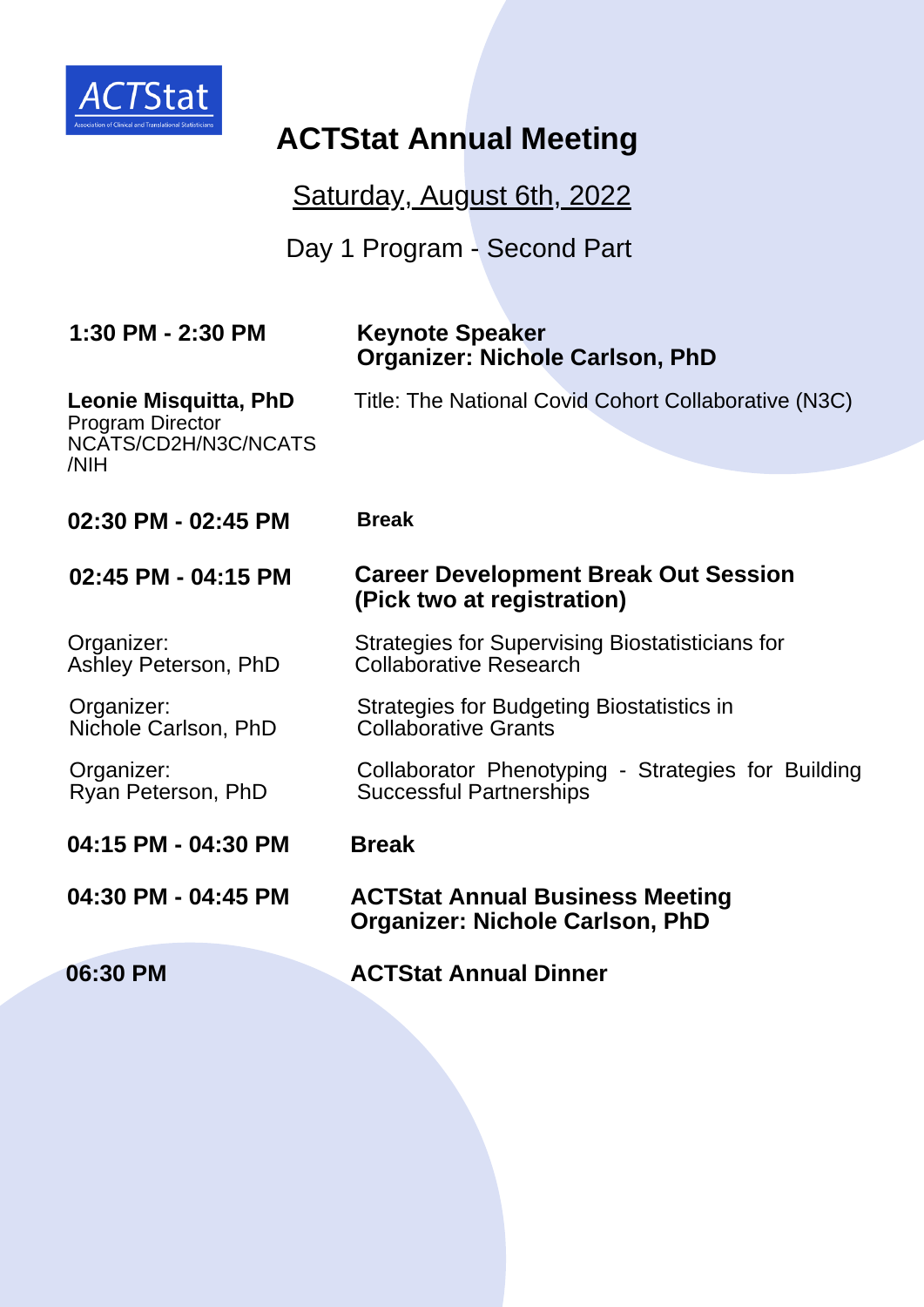

# **ACTStat Annual Meeting**

Saturday, August 6th, 2022

Day 1 Program - Second Part

| 1:30 PM - 2:30 PM                                                                       | <b>Keynote Speaker</b><br><b>Organizer: Nichole Carlson, PhD</b>                     |
|-----------------------------------------------------------------------------------------|--------------------------------------------------------------------------------------|
| <b>Leonie Misquitta, PhD</b><br><b>Program Director</b><br>NCATS/CD2H/N3C/NCATS<br>/NIH | Title: The National Covid Cohort Collaborative (N3C)                                 |
|                                                                                         |                                                                                      |
| 02:30 PM - 02:45 PM                                                                     | <b>Break</b>                                                                         |
| 02:45 PM - 04:15 PM                                                                     | <b>Career Development Break Out Session</b><br>(Pick two at registration)            |
| Organizer:<br>Ashley Peterson, PhD                                                      | Strategies for Supervising Biostatisticians for<br><b>Collaborative Research</b>     |
| Organizer:<br>Nichole Carlson, PhD                                                      | Strategies for Budgeting Biostatistics in<br><b>Collaborative Grants</b>             |
| Organizer:<br>Ryan Peterson, PhD                                                        | Collaborator Phenotyping - Strategies for Building<br><b>Successful Partnerships</b> |
| 04:15 PM - 04:30 PM                                                                     | <b>Break</b>                                                                         |
| 04:30 PM - 04:45 PM                                                                     | <b>ACTStat Annual Business Meeting</b><br><b>Organizer: Nichole Carlson, PhD</b>     |
| 06:30 PM                                                                                | <b>ACTStat Annual Dinner</b>                                                         |